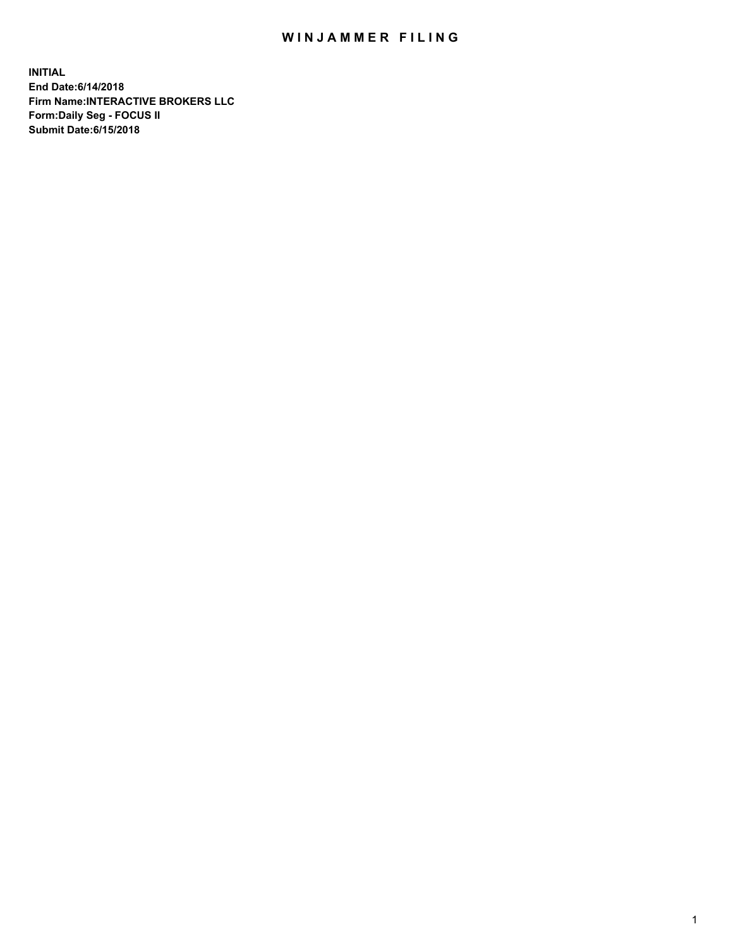## WIN JAMMER FILING

**INITIAL End Date:6/14/2018 Firm Name:INTERACTIVE BROKERS LLC Form:Daily Seg - FOCUS II Submit Date:6/15/2018**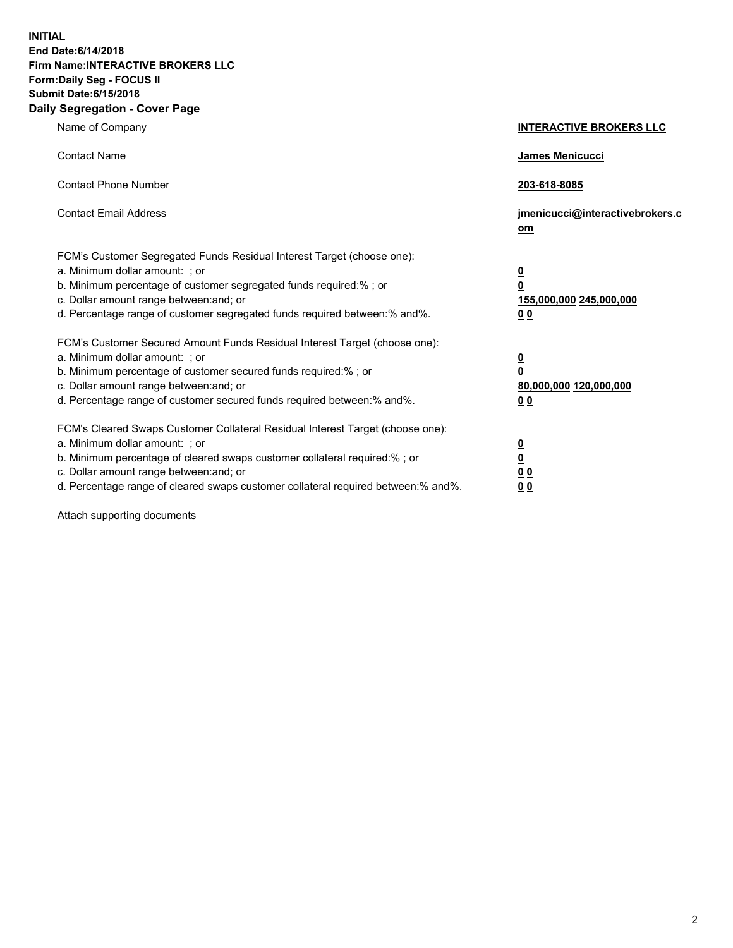**INITIAL End Date:6/14/2018 Firm Name:INTERACTIVE BROKERS LLC Form:Daily Seg - FOCUS II Submit Date:6/15/2018 Daily Segregation - Cover Page**

| Name of Company                                                                                                                                                                                                                                                                                                                | <b>INTERACTIVE BROKERS LLC</b>                                                                  |
|--------------------------------------------------------------------------------------------------------------------------------------------------------------------------------------------------------------------------------------------------------------------------------------------------------------------------------|-------------------------------------------------------------------------------------------------|
| <b>Contact Name</b>                                                                                                                                                                                                                                                                                                            | James Menicucci                                                                                 |
| <b>Contact Phone Number</b>                                                                                                                                                                                                                                                                                                    | 203-618-8085                                                                                    |
| <b>Contact Email Address</b>                                                                                                                                                                                                                                                                                                   | jmenicucci@interactivebrokers.c<br>om                                                           |
| FCM's Customer Segregated Funds Residual Interest Target (choose one):<br>a. Minimum dollar amount: ; or<br>b. Minimum percentage of customer segregated funds required:% ; or<br>c. Dollar amount range between: and; or<br>d. Percentage range of customer segregated funds required between:% and%.                         | $\overline{\mathbf{0}}$<br>$\overline{\mathbf{0}}$<br>155,000,000 245,000,000<br>0 <sub>0</sub> |
| FCM's Customer Secured Amount Funds Residual Interest Target (choose one):<br>a. Minimum dollar amount: ; or<br>b. Minimum percentage of customer secured funds required:% ; or<br>c. Dollar amount range between: and; or<br>d. Percentage range of customer secured funds required between:% and%.                           | $\overline{\mathbf{0}}$<br>0<br>80,000,000 120,000,000<br>0 <sub>0</sub>                        |
| FCM's Cleared Swaps Customer Collateral Residual Interest Target (choose one):<br>a. Minimum dollar amount: ; or<br>b. Minimum percentage of cleared swaps customer collateral required:% ; or<br>c. Dollar amount range between: and; or<br>d. Percentage range of cleared swaps customer collateral required between:% and%. | $\overline{\mathbf{0}}$<br><u>0</u><br>$\underline{0}$ $\underline{0}$<br>00                    |

Attach supporting documents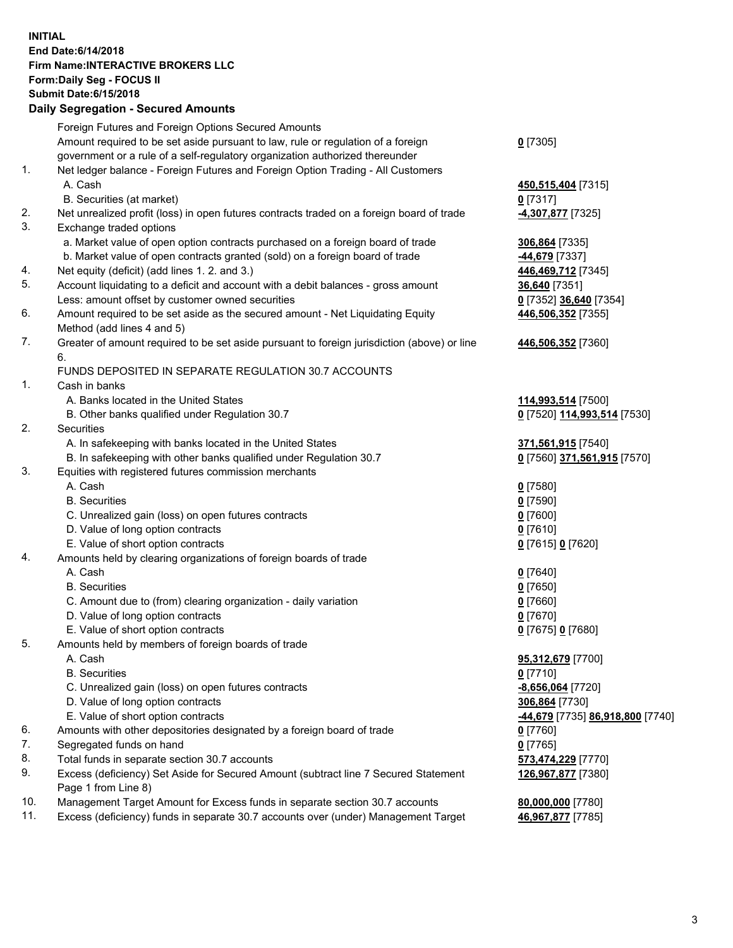## **INITIAL End Date:6/14/2018 Firm Name:INTERACTIVE BROKERS LLC Form:Daily Seg - FOCUS II Submit Date:6/15/2018 Daily Segregation - Secured Amounts**

|     | Dany Ocgregation - Occarea Anioants                                                                                                                               |                                                      |
|-----|-------------------------------------------------------------------------------------------------------------------------------------------------------------------|------------------------------------------------------|
|     | Foreign Futures and Foreign Options Secured Amounts                                                                                                               |                                                      |
|     | Amount required to be set aside pursuant to law, rule or regulation of a foreign                                                                                  | $0$ [7305]                                           |
|     | government or a rule of a self-regulatory organization authorized thereunder                                                                                      |                                                      |
| 1.  | Net ledger balance - Foreign Futures and Foreign Option Trading - All Customers                                                                                   |                                                      |
|     | A. Cash                                                                                                                                                           | 450,515,404 [7315]                                   |
|     | B. Securities (at market)                                                                                                                                         | $0$ [7317]                                           |
| 2.  | Net unrealized profit (loss) in open futures contracts traded on a foreign board of trade                                                                         | 4,307,877 [7325]                                     |
| 3.  | Exchange traded options                                                                                                                                           |                                                      |
|     | a. Market value of open option contracts purchased on a foreign board of trade                                                                                    | 306,864 [7335]                                       |
|     | b. Market value of open contracts granted (sold) on a foreign board of trade                                                                                      | -44,679 [7337]                                       |
| 4.  | Net equity (deficit) (add lines 1.2. and 3.)                                                                                                                      | 446,469,712 [7345]                                   |
| 5.  | Account liquidating to a deficit and account with a debit balances - gross amount                                                                                 | <b>36,640</b> [7351]                                 |
|     | Less: amount offset by customer owned securities                                                                                                                  | 0 [7352] 36,640 [7354]                               |
| 6.  | Amount required to be set aside as the secured amount - Net Liquidating Equity                                                                                    | 446,506,352 [7355]                                   |
|     | Method (add lines 4 and 5)                                                                                                                                        |                                                      |
| 7.  | Greater of amount required to be set aside pursuant to foreign jurisdiction (above) or line                                                                       | 446,506,352 [7360]                                   |
|     | 6.                                                                                                                                                                |                                                      |
|     | FUNDS DEPOSITED IN SEPARATE REGULATION 30.7 ACCOUNTS                                                                                                              |                                                      |
| 1.  | Cash in banks                                                                                                                                                     |                                                      |
|     | A. Banks located in the United States                                                                                                                             | 114,993,514 [7500]                                   |
|     | B. Other banks qualified under Regulation 30.7                                                                                                                    | 0 [7520] 114,993,514 [7530]                          |
| 2.  | Securities                                                                                                                                                        |                                                      |
|     | A. In safekeeping with banks located in the United States                                                                                                         | 371,561,915 [7540]                                   |
|     | B. In safekeeping with other banks qualified under Regulation 30.7                                                                                                | 0 [7560] 371,561,915 [7570]                          |
| 3.  | Equities with registered futures commission merchants                                                                                                             |                                                      |
|     | A. Cash                                                                                                                                                           | $0$ [7580]                                           |
|     | <b>B.</b> Securities                                                                                                                                              | $0$ [7590]                                           |
|     | C. Unrealized gain (loss) on open futures contracts                                                                                                               | $0$ [7600]                                           |
|     | D. Value of long option contracts                                                                                                                                 | $0$ [7610]                                           |
|     | E. Value of short option contracts                                                                                                                                | 0 [7615] 0 [7620]                                    |
| 4.  | Amounts held by clearing organizations of foreign boards of trade                                                                                                 |                                                      |
|     | A. Cash                                                                                                                                                           | $0$ [7640]                                           |
|     | <b>B.</b> Securities                                                                                                                                              | $0$ [7650]                                           |
|     | C. Amount due to (from) clearing organization - daily variation                                                                                                   | $0$ [7660]                                           |
|     | D. Value of long option contracts                                                                                                                                 | $0$ [7670]                                           |
|     | E. Value of short option contracts                                                                                                                                | 0 [7675] 0 [7680]                                    |
| 5.  | Amounts held by members of foreign boards of trade                                                                                                                |                                                      |
|     | A. Cash                                                                                                                                                           | 95,312,679 [7700]                                    |
|     | <b>B.</b> Securities                                                                                                                                              | $0$ [7710]                                           |
|     | C. Unrealized gain (loss) on open futures contracts                                                                                                               | $-8,656,064$ [7720]                                  |
|     | D. Value of long option contracts                                                                                                                                 | 306,864 [7730]                                       |
|     | E. Value of short option contracts                                                                                                                                | <mark>-44,679</mark> [7735] <b>86,918,800</b> [7740] |
| 6.  | Amounts with other depositories designated by a foreign board of trade                                                                                            | 0 [7760]                                             |
| 7.  | Segregated funds on hand                                                                                                                                          | $0$ [7765]                                           |
| 8.  | Total funds in separate section 30.7 accounts                                                                                                                     | 573,474,229 [7770]                                   |
| 9.  | Excess (deficiency) Set Aside for Secured Amount (subtract line 7 Secured Statement                                                                               | 126,967,877 [7380]                                   |
| 10. | Page 1 from Line 8)                                                                                                                                               |                                                      |
| 11. | Management Target Amount for Excess funds in separate section 30.7 accounts<br>Excess (deficiency) funds in separate 30.7 accounts over (under) Management Target | 80,000,000 [7780]                                    |
|     |                                                                                                                                                                   | 46,967,877 [7785]                                    |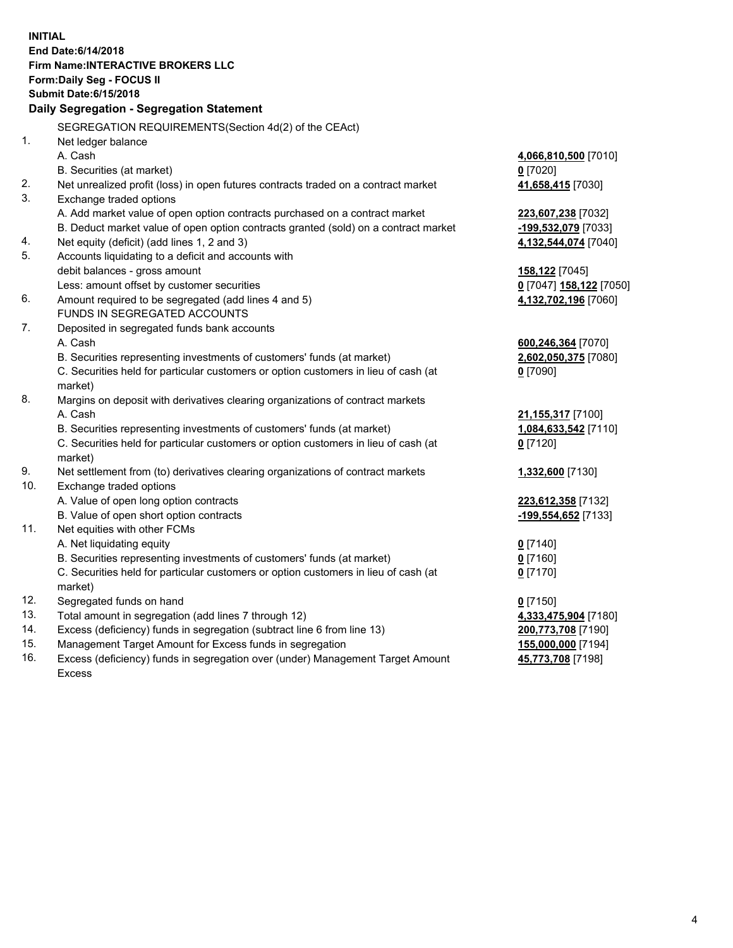**INITIAL End Date:6/14/2018 Firm Name:INTERACTIVE BROKERS LLC Form:Daily Seg - FOCUS II Submit Date:6/15/2018 Daily Segregation - Segregation Statement** SEGREGATION REQUIREMENTS(Section 4d(2) of the CEAct) 1. Net ledger balance A. Cash **4,066,810,500** [7010] B. Securities (at market) **0** [7020] 2. Net unrealized profit (loss) in open futures contracts traded on a contract market **41,658,415** [7030] 3. Exchange traded options A. Add market value of open option contracts purchased on a contract market **223,607,238** [7032] B. Deduct market value of open option contracts granted (sold) on a contract market **-199,532,079** [7033] 4. Net equity (deficit) (add lines 1, 2 and 3) **4,132,544,074** [7040] 5. Accounts liquidating to a deficit and accounts with debit balances - gross amount **158,122** [7045] Less: amount offset by customer securities **0** [7047] **158,122** [7050] 6. Amount required to be segregated (add lines 4 and 5) **4,132,702,196** [7060] FUNDS IN SEGREGATED ACCOUNTS 7. Deposited in segregated funds bank accounts A. Cash **600,246,364** [7070] B. Securities representing investments of customers' funds (at market) **2,602,050,375** [7080] C. Securities held for particular customers or option customers in lieu of cash (at market) **0** [7090] 8. Margins on deposit with derivatives clearing organizations of contract markets A. Cash **21,155,317** [7100] B. Securities representing investments of customers' funds (at market) **1,084,633,542** [7110] C. Securities held for particular customers or option customers in lieu of cash (at market) **0** [7120] 9. Net settlement from (to) derivatives clearing organizations of contract markets **1,332,600** [7130] 10. Exchange traded options A. Value of open long option contracts **223,612,358** [7132] B. Value of open short option contracts **-199,554,652** [7133] 11. Net equities with other FCMs A. Net liquidating equity **0** [7140] B. Securities representing investments of customers' funds (at market) **0** [7160] C. Securities held for particular customers or option customers in lieu of cash (at market) **0** [7170] 12. Segregated funds on hand **0** [7150] 13. Total amount in segregation (add lines 7 through 12) **4,333,475,904** [7180] 14. Excess (deficiency) funds in segregation (subtract line 6 from line 13) **200,773,708** [7190] 15. Management Target Amount for Excess funds in segregation **155,000,000** [7194]

16. Excess (deficiency) funds in segregation over (under) Management Target Amount Excess

**45,773,708** [7198]